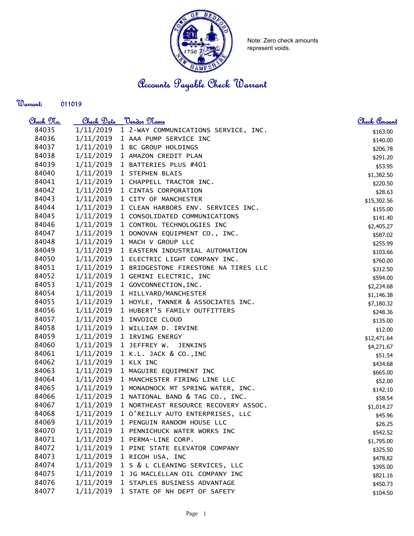

Note: Zero check amounts represent voids.

Accounts Payable Check Warrant

## Warrant:

| <u>Check No.</u> | Check Date | <u> Vendor Name</u>                         | Check Amount |
|------------------|------------|---------------------------------------------|--------------|
| 84035            | 1/11/2019  | 1 2-WAY COMMUNICATIONS SERVICE, INC.        | \$163.00     |
| 84036            | 1/11/2019  | 1 AAA PUMP SERVICE INC                      | \$140.00     |
| 84037            | 1/11/2019  | 1 BC GROUP HOLDINGS                         | \$206.78     |
| 84038            | 1/11/2019  | 1 AMAZON CREDIT PLAN                        | \$291.20     |
| 84039            | 1/11/2019  | 1 BATTERIES PLUS #401                       | \$53.95      |
| 84040            |            | $1/11/2019$ 1 STEPHEN BLAIS                 | \$1,382.50   |
| 84041            | 1/11/2019  | 1 CHAPPELL TRACTOR INC.                     | \$220.50     |
| 84042            | 1/11/2019  | 1 CINTAS CORPORATION                        | \$28.63      |
| 84043            | 1/11/2019  | 1 CITY OF MANCHESTER                        | \$15,302.56  |
| 84044            | 1/11/2019  | 1 CLEAN HARBORS ENV. SERVICES INC.          | \$155.00     |
| 84045            | 1/11/2019  | 1 CONSOLIDATED COMMUNICATIONS               | \$141.40     |
| 84046            | 1/11/2019  | 1 CONTROL TECHNOLOGIES INC                  | \$2,405.27   |
| 84047            | 1/11/2019  | 1 DONOVAN EQUIPMENT CO., INC.               | \$587.02     |
| 84048            | 1/11/2019  | 1 MACH V GROUP LLC                          | \$255.99     |
| 84049            | 1/11/2019  | 1 EASTERN INDUSTRIAL AUTOMATION             | \$103.66     |
| 84050            | 1/11/2019  | 1 ELECTRIC LIGHT COMPANY INC.               | \$760.00     |
| 84051            | 1/11/2019  | 1 BRIDGESTONE FIRESTONE NA TIRES LLC        | \$312.50     |
| 84052            | 1/11/2019  | 1 GEMINI ELECTRIC, INC                      | \$594.00     |
| 84053            | 1/11/2019  | 1 GOVCONNECTION, INC.                       | \$2,234.68   |
| 84054            | 1/11/2019  | 1 HILLYARD/MANCHESTER                       | \$1,146.38   |
| 84055            |            | 1/11/2019 1 HOYLE, TANNER & ASSOCIATES INC. | \$7,180.32   |
| 84056            |            | 1/11/2019 1 HUBERT'S FAMILY OUTFITTERS      | \$248.36     |
| 84057            |            | 1/11/2019 1 INVOICE CLOUD                   | \$135.00     |
| 84058            | 1/11/2019  | 1 WILLIAM D. IRVINE                         | \$12.00      |
| 84059            | 1/11/2019  | 1 IRVING ENERGY                             | \$12,471.64  |
| 84060            | 1/11/2019  | 1 JEFFREY W.<br><b>JENKINS</b>              | \$4,271.67   |
| 84061            | 1/11/2019  | 1 K.L. JACK & CO., INC                      | \$51.54      |
| 84062            | 1/11/2019  | 1 KLX INC                                   | \$434.68     |
| 84063            | 1/11/2019  | 1 MAGUIRE EQUIPMENT INC                     | \$665.00     |
| 84064            | 1/11/2019  | 1 MANCHESTER FIRING LINE LLC                | \$52.00      |
| 84065            | 1/11/2019  | 1 MONADNOCK MT SPRING WATER, INC.           | \$142.10     |
| 84066            | 1/11/2019  | 1 NATIONAL BAND & TAG CO., INC.             | \$58.54      |
| 84067            | 1/11/2019  | 1 NORTHEAST RESOURCE RECOVERY ASSOC.        | \$1,014.27   |
| 84068            | 1/11/2019  | 1 O'REILLY AUTO ENTERPRISES, LLC            | \$45.96      |
| 84069            | 1/11/2019  | 1 PENGUIN RANDOM HOUSE LLC                  | \$26.25      |
| 84070            | 1/11/2019  | 1 PENNICHUCK WATER WORKS INC                | \$542.52     |
| 84071            | 1/11/2019  | 1 PERMA-LINE CORP.                          | \$1,795.00   |
| 84072            | 1/11/2019  | 1 PINE STATE ELEVATOR COMPANY               | \$325.50     |
| 84073            | 1/11/2019  | 1 RICOH USA, INC                            | \$478.82     |
| 84074            | 1/11/2019  | 1 S & L CLEANING SERVICES, LLC              | \$395.00     |
| 84075            | 1/11/2019  | 1 JG MACLELLAN OIL COMPANY INC              | \$821.16     |
| 84076            | 1/11/2019  | 1 STAPLES BUSINESS ADVANTAGE                | \$450.73     |
| 84077            | 1/11/2019  | 1 STATE OF NH DEPT OF SAFETY                | \$104.50     |
|                  |            |                                             |              |